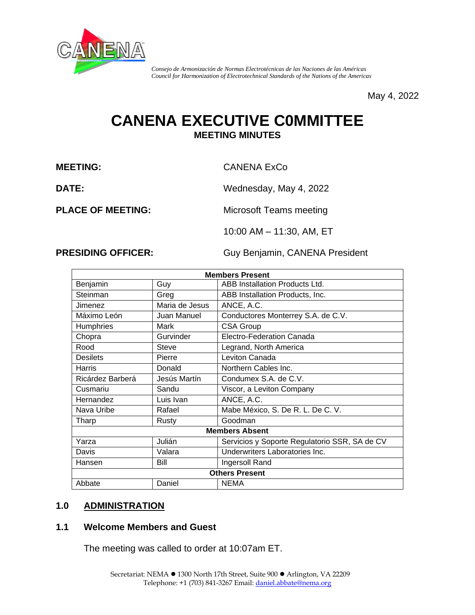

*Consejo de Armonización de Normas Electrotécnicas de las Naciones de las Américas Council for Harmonization of Electrotechnical Standards of the Nations of the Americas*

May 4, 2022

# **CANENA EXECUTIVE C0MMITTEE MEETING MINUTES**

**MEETING:** CANENA ExCo

**DATE:** Wednesday, May 4, 2022

**PLACE OF MEETING:** Microsoft Teams meeting

10:00 AM – 11:30, AM, ET

**PRESIDING OFFICER:** Guy Benjamin, CANENA President

| <b>Members Present</b> |                |                                               |  |  |
|------------------------|----------------|-----------------------------------------------|--|--|
| Benjamin               | Guy            | <b>ABB Installation Products Ltd.</b>         |  |  |
| Steinman               | Greg           | ABB Installation Products, Inc.               |  |  |
| Jimenez                | Maria de Jesus | ANCE, A.C.                                    |  |  |
| Máximo León            | Juan Manuel    | Conductores Monterrey S.A. de C.V.            |  |  |
| <b>Humphries</b>       | Mark           | <b>CSA Group</b>                              |  |  |
| Chopra                 | Gurvinder      | Electro-Federation Canada                     |  |  |
| Rood                   | <b>Steve</b>   | Legrand, North America                        |  |  |
| <b>Desilets</b>        | Pierre         | Leviton Canada                                |  |  |
| Harris                 | Donald         | Northern Cables Inc.                          |  |  |
| Ricárdez Barberá       | Jesús Martín   | Condumex S.A. de C.V.                         |  |  |
| Cusmariu               | Sandu          | Viscor, a Leviton Company                     |  |  |
| Hernandez              | Luis Ivan      | ANCE, A.C.                                    |  |  |
| Nava Uribe             | Rafael         | Mabe México, S. De R. L. De C. V.             |  |  |
| Tharp                  | Rusty          | Goodman                                       |  |  |
| <b>Members Absent</b>  |                |                                               |  |  |
| Yarza                  | Julián         | Servicios y Soporte Regulatorio SSR, SA de CV |  |  |
| Davis                  | Valara         | Underwriters Laboratories Inc.                |  |  |
| Hansen                 | Bill           | Ingersoll Rand                                |  |  |
| <b>Others Present</b>  |                |                                               |  |  |
| Abbate                 | Daniel         | <b>NEMA</b>                                   |  |  |

## **1.0 ADMINISTRATION**

#### **1.1 Welcome Members and Guest**

The meeting was called to order at 10:07am ET.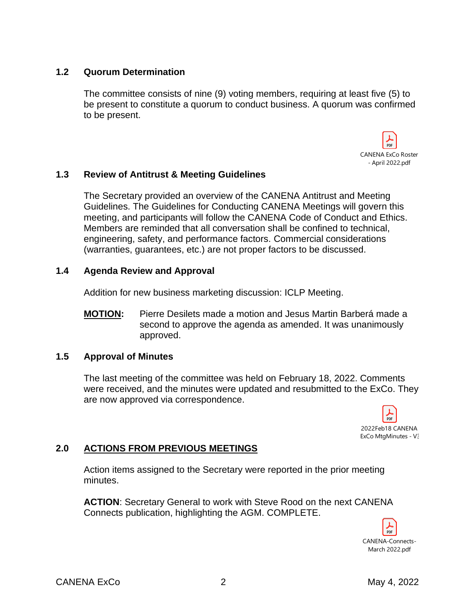### **1.2 Quorum Determination**

The committee consists of nine (9) voting members, requiring at least five (5) to be present to constitute a quorum to conduct business. A quorum was confirmed to be present.



### **1.3 Review of Antitrust & Meeting Guidelines**

The Secretary provided an overview of the CANENA Antitrust and Meeting Guidelines. The Guidelines for Conducting CANENA Meetings will govern this meeting, and participants will follow the CANENA Code of Conduct and Ethics. Members are reminded that all conversation shall be confined to technical, engineering, safety, and performance factors. Commercial considerations (warranties, guarantees, etc.) are not proper factors to be discussed.

#### **1.4 Agenda Review and Approval**

Addition for new business marketing discussion: ICLP Meeting.

**MOTION:** Pierre Desilets made a motion and Jesus Martin Barberá made a second to approve the agenda as amended. It was unanimously approved.

#### **1.5 Approval of Minutes**

The last meeting of the committee was held on February 18, 2022. Comments were received, and the minutes were updated and resubmitted to the ExCo. They are now approved via correspondence.



## **2.0 ACTIONS FROM PREVIOUS MEETINGS**

Action items assigned to the Secretary were reported in the prior meeting minutes.

**ACTION**: Secretary General to work with Steve Rood on the next CANENA Connects publication, highlighting the AGM. COMPLETE.

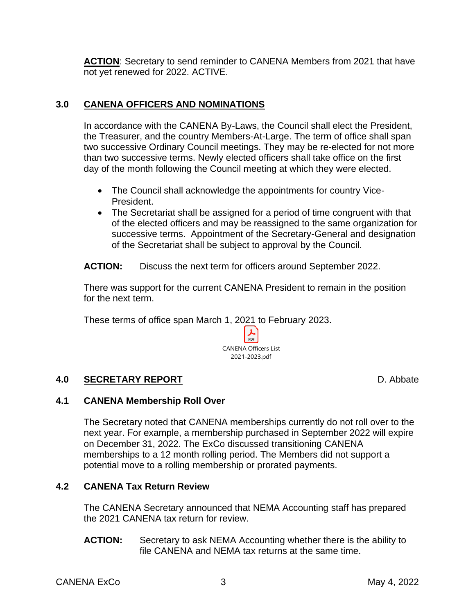ACTION: Secretary to send reminder to CANENA Members from 2021 that have not yet renewed for 2022. ACTIVE.

## **3.0 CANENA OFFICERS AND NOMINATIONS**

In accordance with the CANENA By-Laws, the Council shall elect the President, the Treasurer, and the country Members-At-Large. The term of office shall span two successive Ordinary Council meetings. They may be re-elected for not more than two successive terms. Newly elected officers shall take office on the first day of the month following the Council meeting at which they were elected.

- The Council shall acknowledge the appointments for country Vice-President.
- The Secretariat shall be assigned for a period of time congruent with that of the elected officers and may be reassigned to the same organization for successive terms. Appointment of the Secretary-General and designation of the Secretariat shall be subject to approval by the Council.

**ACTION:** Discuss the next term for officers around September 2022.

There was support for the current CANENA President to remain in the position for the next term.

These terms of office span March 1, 2021 to February 2023.



## **4.0 SECRETARY REPORT** D. Abbate

## **4.1 CANENA Membership Roll Over**

The Secretary noted that CANENA memberships currently do not roll over to the next year. For example, a membership purchased in September 2022 will expire on December 31, 2022. The ExCo discussed transitioning CANENA memberships to a 12 month rolling period. The Members did not support a potential move to a rolling membership or prorated payments.

## **4.2 CANENA Tax Return Review**

The CANENA Secretary announced that NEMA Accounting staff has prepared the 2021 CANENA tax return for review.

**ACTION:** Secretary to ask NEMA Accounting whether there is the ability to file CANENA and NEMA tax returns at the same time.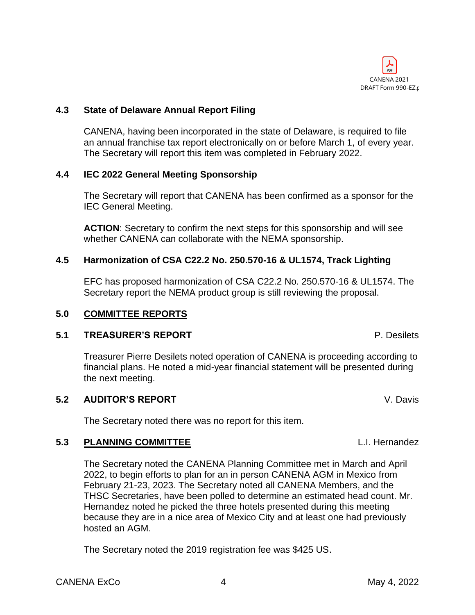

#### **4.3 State of Delaware Annual Report Filing**

CANENA, having been incorporated in the state of Delaware, is required to file an annual franchise tax report electronically on or before March 1, of every year. The Secretary will report this item was completed in February 2022.

#### **4.4 IEC 2022 General Meeting Sponsorship**

The Secretary will report that CANENA has been confirmed as a sponsor for the IEC General Meeting.

**ACTION**: Secretary to confirm the next steps for this sponsorship and will see whether CANENA can collaborate with the NEMA sponsorship.

#### **4.5 Harmonization of CSA C22.2 No. 250.570-16 & UL1574, Track Lighting**

EFC has proposed harmonization of CSA C22.2 No. 250.570-16 & UL1574. The Secretary report the NEMA product group is still reviewing the proposal.

#### **5.0 COMMITTEE REPORTS**

#### **5.1 TREASURER'S REPORT** P. Desilets

Treasurer Pierre Desilets noted operation of CANENA is proceeding according to financial plans. He noted a mid-year financial statement will be presented during the next meeting.

#### **5.2 AUDITOR'S REPORT** V. Davis

The Secretary noted there was no report for this item.

#### **5.3 PLANNING COMMITTEE** L.I. Hernandez

The Secretary noted the CANENA Planning Committee met in March and April 2022, to begin efforts to plan for an in person CANENA AGM in Mexico from February 21-23, 2023. The Secretary noted all CANENA Members, and the THSC Secretaries, have been polled to determine an estimated head count. Mr. Hernandez noted he picked the three hotels presented during this meeting because they are in a nice area of Mexico City and at least one had previously hosted an AGM.

The Secretary noted the 2019 registration fee was \$425 US.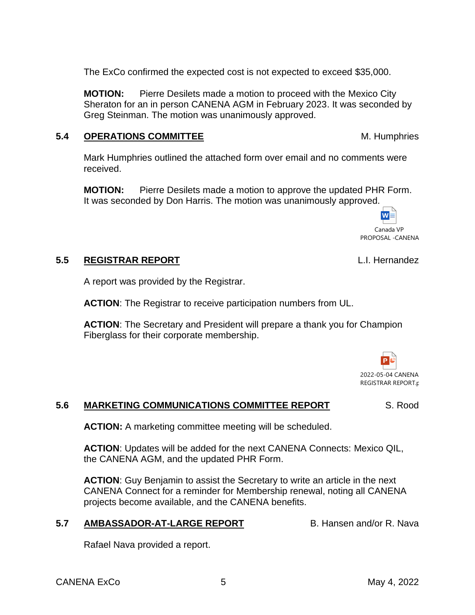The ExCo confirmed the expected cost is not expected to exceed \$35,000.

**MOTION:** Pierre Desilets made a motion to proceed with the Mexico City Sheraton for an in person CANENA AGM in February 2023. It was seconded by Greg Steinman. The motion was unanimously approved.

## **5.4 OPERATIONS COMMITTEE** M. Humphries

Mark Humphries outlined the attached form over email and no comments were received.

**MOTION:** Pierre Desilets made a motion to approve the updated PHR Form. It was seconded by Don Harris. The motion was unanimously approved.

## **5.5 REGISTRAR REPORT** L.I. Hernandez

A report was provided by the Registrar.

**ACTION**: The Registrar to receive participation numbers from UL.

**ACTION**: The Secretary and President will prepare a thank you for Champion Fiberglass for their corporate membership.

#### **5.6 MARKETING COMMUNICATIONS COMMITTEE REPORT** S. Rood

**ACTION:** A marketing committee meeting will be scheduled.

**ACTION**: Updates will be added for the next CANENA Connects: Mexico QIL, the CANENA AGM, and the updated PHR Form.

**ACTION**: Guy Benjamin to assist the Secretary to write an article in the next CANENA Connect for a reminder for Membership renewal, noting all CANENA projects become available, and the CANENA benefits.

## **5.7 AMBASSADOR-AT-LARGE REPORT B. Hansen and/or R. Nava**

Rafael Nava provided a report.



Canada VP PROPOSAL -CANENA

 $W =$